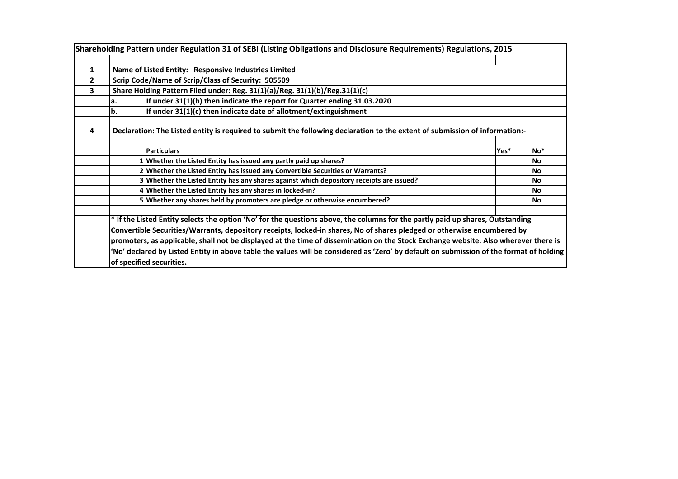|                |                                                                                          | Shareholding Pattern under Regulation 31 of SEBI (Listing Obligations and Disclosure Requirements) Regulations, 2015                                                                                                                                                                                                                                                                                                                                                                                                                                                    |                 |           |  |  |  |  |  |  |  |  |  |  |  |
|----------------|------------------------------------------------------------------------------------------|-------------------------------------------------------------------------------------------------------------------------------------------------------------------------------------------------------------------------------------------------------------------------------------------------------------------------------------------------------------------------------------------------------------------------------------------------------------------------------------------------------------------------------------------------------------------------|-----------------|-----------|--|--|--|--|--|--|--|--|--|--|--|
|                |                                                                                          |                                                                                                                                                                                                                                                                                                                                                                                                                                                                                                                                                                         |                 |           |  |  |  |  |  |  |  |  |  |  |  |
| $\mathbf{1}$   |                                                                                          | Name of Listed Entity: Responsive Industries Limited                                                                                                                                                                                                                                                                                                                                                                                                                                                                                                                    |                 |           |  |  |  |  |  |  |  |  |  |  |  |
| $\overline{2}$ |                                                                                          | Scrip Code/Name of Scrip/Class of Security: 505509                                                                                                                                                                                                                                                                                                                                                                                                                                                                                                                      |                 |           |  |  |  |  |  |  |  |  |  |  |  |
| 3              |                                                                                          | Share Holding Pattern Filed under: Reg. 31(1)(a)/Reg. 31(1)(b)/Reg.31(1)(c)                                                                                                                                                                                                                                                                                                                                                                                                                                                                                             |                 |           |  |  |  |  |  |  |  |  |  |  |  |
|                | а.                                                                                       | If under 31(1)(b) then indicate the report for Quarter ending 31.03.2020                                                                                                                                                                                                                                                                                                                                                                                                                                                                                                |                 |           |  |  |  |  |  |  |  |  |  |  |  |
|                | b.                                                                                       | If under 31(1)(c) then indicate date of allotment/extinguishment                                                                                                                                                                                                                                                                                                                                                                                                                                                                                                        |                 |           |  |  |  |  |  |  |  |  |  |  |  |
| 4              |                                                                                          | Declaration: The Listed entity is required to submit the following declaration to the extent of submission of information:-                                                                                                                                                                                                                                                                                                                                                                                                                                             |                 |           |  |  |  |  |  |  |  |  |  |  |  |
|                |                                                                                          | <b>Particulars</b>                                                                                                                                                                                                                                                                                                                                                                                                                                                                                                                                                      |                 |           |  |  |  |  |  |  |  |  |  |  |  |
|                |                                                                                          | Yes*                                                                                                                                                                                                                                                                                                                                                                                                                                                                                                                                                                    | No <sup>*</sup> |           |  |  |  |  |  |  |  |  |  |  |  |
|                | 1 Whether the Listed Entity has issued any partly paid up shares?                        |                                                                                                                                                                                                                                                                                                                                                                                                                                                                                                                                                                         | <b>No</b>       |           |  |  |  |  |  |  |  |  |  |  |  |
|                | 2 Whether the Listed Entity has issued any Convertible Securities or Warrants?           |                                                                                                                                                                                                                                                                                                                                                                                                                                                                                                                                                                         | No.             |           |  |  |  |  |  |  |  |  |  |  |  |
|                | 3 Whether the Listed Entity has any shares against which depository receipts are issued? |                                                                                                                                                                                                                                                                                                                                                                                                                                                                                                                                                                         | <b>No</b>       |           |  |  |  |  |  |  |  |  |  |  |  |
|                |                                                                                          | 4 Whether the Listed Entity has any shares in locked-in?                                                                                                                                                                                                                                                                                                                                                                                                                                                                                                                |                 | <b>No</b> |  |  |  |  |  |  |  |  |  |  |  |
|                |                                                                                          | 5 Whether any shares held by promoters are pledge or otherwise encumbered?                                                                                                                                                                                                                                                                                                                                                                                                                                                                                              |                 | <b>No</b> |  |  |  |  |  |  |  |  |  |  |  |
|                |                                                                                          | * If the Listed Entity selects the option 'No' for the questions above, the columns for the partly paid up shares, Outstanding<br>Convertible Securities/Warrants, depository receipts, locked-in shares, No of shares pledged or otherwise encumbered by<br>promoters, as applicable, shall not be displayed at the time of dissemination on the Stock Exchange website. Also wherever there is<br>'No' declared by Listed Entity in above table the values will be considered as 'Zero' by default on submission of the format of holding<br>of specified securities. |                 |           |  |  |  |  |  |  |  |  |  |  |  |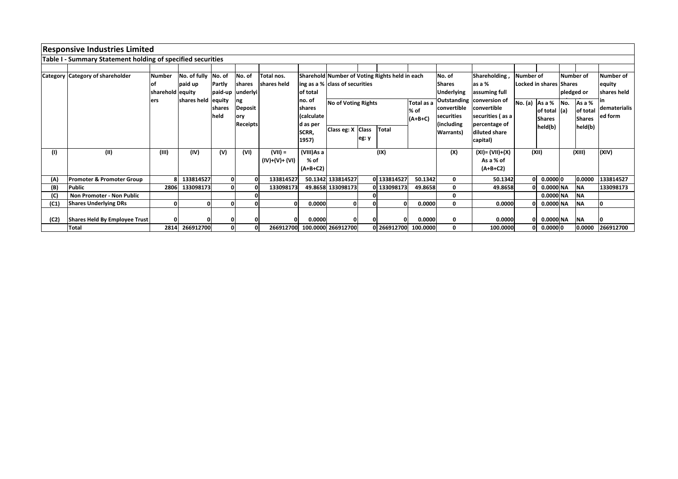|      | <b>Responsive Industries Limited</b>                        |                  |                     |              |                  |                     |                |                                   |              |                                                |            |                   |                           |              |                         |             |               |              |
|------|-------------------------------------------------------------|------------------|---------------------|--------------|------------------|---------------------|----------------|-----------------------------------|--------------|------------------------------------------------|------------|-------------------|---------------------------|--------------|-------------------------|-------------|---------------|--------------|
|      | Table I - Summary Statement holding of specified securities |                  |                     |              |                  |                     |                |                                   |              |                                                |            |                   |                           |              |                         |             |               |              |
|      |                                                             |                  |                     |              |                  |                     |                |                                   |              |                                                |            |                   |                           |              |                         |             |               |              |
|      | <b>Category Category of shareholder</b>                     | <b>Number</b>    | No. of fully No. of |              | No. of           | Total nos.          |                |                                   |              | Sharehold Number of Voting Rights held in each |            | No. of            | Shareholding,             | Number of    |                         |             | Number of     | Number of    |
|      |                                                             | lof              | paid up             | Partly       | <b>Ishares</b>   | <b>Ishares held</b> |                | ing as a % class of securities    |              |                                                |            | <b>Shares</b>     | as a %                    |              | Locked in shares Shares |             |               | equity       |
|      |                                                             | sharehold equity |                     |              | paid-up underlyi |                     | of total       |                                   |              |                                                |            | <b>Underlying</b> |                           |              | pledged or              | shares held |               |              |
|      |                                                             | ers              | shares held         | equity       | Ing              |                     | no. of         | <b>No of Voting Rights</b>        |              |                                                | Total as a |                   | Outstanding conversion of | No. (a)      | As a %                  | No.         | As a %        |              |
|      |                                                             |                  |                     | shares       | Deposit          |                     | <b>Ishares</b> |                                   |              |                                                | % of       | convertible       | <b>convertible</b>        |              | of total                | (a)         | of total      | dematerialis |
|      |                                                             |                  |                     | held         | lory             |                     | (calculate     |                                   |              |                                                | $(A+B+C)$  | securities        | securities (as a          |              | <b>Shares</b>           |             | <b>Shares</b> | ed form      |
|      |                                                             |                  |                     |              | <b>Receipts</b>  |                     | d as per       | Class eg: X Class<br><b>Total</b> |              |                                                |            | (including)       | percentage of             |              | held(b)                 |             | held(b)       |              |
|      |                                                             |                  |                     |              |                  |                     | SCRR,          |                                   |              |                                                |            | <b>Warrants</b> ) | diluted share             |              |                         |             |               |              |
|      |                                                             |                  |                     |              |                  |                     | 1957)          |                                   | eg: y        |                                                |            |                   | capital)                  |              |                         |             |               |              |
| (1)  | (II)                                                        | (III)            | (IV)                | (V)          | (VI)             | $(VII) =$           | (VIII)As a     |                                   |              | (IX)                                           |            | (X)               | (XI)= (VII)+(X)           |              | (XII)                   |             | (XIII)        | (XIV)        |
|      |                                                             |                  |                     |              |                  | (IV)+(V)+ (VI)      | % of           |                                   |              |                                                |            |                   | As a % of                 |              |                         |             |               |              |
|      |                                                             |                  |                     |              |                  |                     | $(A+B+C2)$     |                                   |              |                                                |            |                   | $(A+B+C2)$                |              |                         |             |               |              |
| (A)  | <b>Promoter &amp; Promoter Group</b>                        |                  | 8 133814527         | $\mathbf{0}$ | n                | 133814527           |                | 50.1342 133814527                 |              | 0 133814527                                    | 50.1342    | 0                 | 50.1342                   | 0            | 0.00000                 |             | 0.0000        | 133814527    |
| (B)  | <b>Public</b>                                               |                  | 2806 133098173      |              |                  | 133098173           |                | 49.8658 133098173                 |              | 0 133098173                                    | 49.8658    | 0                 | 49.8658                   | $\Omega$     | 0.0000 NA               |             | <b>NA</b>     | 133098173    |
| (C)  | <b>Non Promoter - Non Public</b>                            |                  |                     |              |                  |                     |                |                                   |              |                                                |            | 0                 |                           |              | 0.0000 NA               |             | <b>NA</b>     |              |
| (C1) | <b>Shares Underlying DRs</b>                                | 0                |                     |              |                  | $\mathbf{0}$        | 0.0000         |                                   | $\mathbf{0}$ |                                                | 0.0000     | $\mathbf 0$       | 0.0000                    | O            | 0.0000 NA               |             | <b>NA</b>     |              |
|      |                                                             |                  |                     |              |                  |                     |                |                                   |              |                                                |            |                   |                           |              |                         |             |               |              |
| (C2) | Shares Held By Employee Trust                               |                  |                     |              |                  |                     | 0.0000         |                                   |              |                                                | 0.0000     | 0                 | 0.0000                    | $\mathbf{0}$ | 0.0000 NA               |             | <b>NA</b>     |              |
|      | Total                                                       | 2814             | 266912700           | $\Omega$     |                  | 266912700           |                | 100.0000 266912700                |              | 0 266912700                                    | 100.0000   | 0                 | 100.0000                  | 0            | 0.00000                 |             | 0.0000        | 266912700    |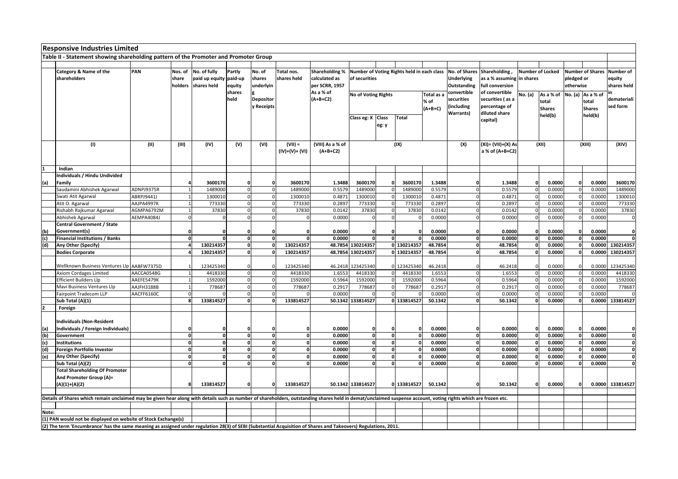|       | <b>Responsive Industries Limited</b>                                                                                                                                                                           |            |                |                        |              |              |                |                       |                                            |                                     |              |            |                    |                           |                         |               |              |                   |                            |
|-------|----------------------------------------------------------------------------------------------------------------------------------------------------------------------------------------------------------------|------------|----------------|------------------------|--------------|--------------|----------------|-----------------------|--------------------------------------------|-------------------------------------|--------------|------------|--------------------|---------------------------|-------------------------|---------------|--------------|-------------------|----------------------------|
|       | Table II - Statement showing shareholding pattern of the Promoter and Promoter Group                                                                                                                           |            |                |                        |              |              |                |                       |                                            |                                     |              |            |                    |                           |                         |               |              |                   |                            |
|       |                                                                                                                                                                                                                |            |                |                        |              |              |                |                       |                                            |                                     |              |            |                    |                           |                         |               |              |                   |                            |
|       | Category & Name of the                                                                                                                                                                                         | PAN        | Nos. of        | No. of fully           | Partly       | No. of       | Total nos.     | <b>Shareholding %</b> | Number of Voting Rights held in each class |                                     |              |            | No. of Shares      | Shareholding,             | <b>Number of Locked</b> |               |              |                   | Number of Shares Number of |
|       | shareholders                                                                                                                                                                                                   |            | share          | paid up equity paid-up |              | shares       | shares held    | calculated as         | of securities                              |                                     |              |            | <b>Underlying</b>  | as a % assuming in shares |                         |               | pledged or   |                   | equity                     |
|       |                                                                                                                                                                                                                |            | holders        | shares held            | equity       | underlyin    |                | per SCRR, 1957        |                                            |                                     |              |            | <b>Outstanding</b> | full conversion           |                         |               | otherwise    |                   | shares held                |
|       |                                                                                                                                                                                                                |            |                |                        | shares       |              |                | As a % of             |                                            |                                     |              |            | convertible        | of convertible            |                         |               |              |                   |                            |
|       |                                                                                                                                                                                                                |            |                |                        | held         |              |                | $(A+B+C2)$            | <b>No of Voting Rights</b>                 |                                     |              | Total as a | securities         | securities (as a          | No. (a)                 | As a % of     |              | No. (a) As a % of | demateriali                |
|       |                                                                                                                                                                                                                |            |                |                        |              | Depositor    |                |                       |                                            | % of                                |              |            |                    |                           |                         | total         |              | total             |                            |
|       |                                                                                                                                                                                                                |            |                |                        |              | y Receipts   |                |                       |                                            | Class eg: X Class<br>Total<br>eg: y |              | $(A+B+C)$  | including)         | percentage of             |                         | <b>Shares</b> |              | <b>Shares</b>     | sed form                   |
|       |                                                                                                                                                                                                                |            |                |                        |              |              |                |                       |                                            |                                     |              |            | <b>Warrants)</b>   | diluted share             |                         | held(b)       |              | held(b)           |                            |
|       |                                                                                                                                                                                                                |            |                |                        |              |              |                |                       |                                            |                                     |              |            |                    | capital)                  |                         |               |              |                   |                            |
|       |                                                                                                                                                                                                                |            |                |                        |              |              |                |                       |                                            |                                     |              |            |                    |                           |                         |               |              |                   |                            |
|       |                                                                                                                                                                                                                |            |                |                        |              |              |                |                       |                                            |                                     |              |            |                    |                           |                         |               |              |                   |                            |
|       | (1)                                                                                                                                                                                                            | (II)       | (III)          | (IV)                   | (V)          | (VI)         | $(VII) =$      | (VIII) As a % of      |                                            |                                     | (IX)         |            | (X)                | (XI)= (VII)+(X) As        |                         | (XII)         |              | (XIII)            | (XIV)                      |
|       |                                                                                                                                                                                                                |            |                |                        |              |              | $(IV)+(V)+(V)$ | $(A+B+C2)$            |                                            |                                     |              |            |                    | a % of (A+B+C2)           |                         |               |              |                   |                            |
|       |                                                                                                                                                                                                                |            |                |                        |              |              |                |                       |                                            |                                     |              |            |                    |                           |                         |               |              |                   |                            |
|       |                                                                                                                                                                                                                |            |                |                        |              |              |                |                       |                                            |                                     |              |            |                    |                           |                         |               |              |                   |                            |
|       | Indian                                                                                                                                                                                                         |            |                |                        |              |              |                |                       |                                            |                                     |              |            |                    |                           |                         |               |              |                   |                            |
|       | Individuals / Hindu Undivided                                                                                                                                                                                  |            |                |                        |              |              |                |                       |                                            |                                     |              |            |                    |                           |                         |               |              |                   |                            |
| (a)   | Family                                                                                                                                                                                                         |            |                | 3600170                | 0            | $\Omega$     | 3600170        | 1.3488                | 3600170                                    |                                     | 3600170      | 1.3488     | C                  | 1.3488                    | $\mathbf{0}$            | 0.0000        | $\mathbf 0$  | 0.0000            | 3600170                    |
|       | Saudamini Abhishek Agarwal                                                                                                                                                                                     | ADNPJ9375R |                | 1489000                | $\mathbf 0$  | $\Omega$     | 1489000        | 0.5579                | 1489000                                    |                                     | 1489000      | 0.5579     |                    | 0.5579                    | $\overline{0}$          | 0.0000        |              | 0.0000            | 1489000                    |
|       | Swati Atit Agarwal                                                                                                                                                                                             | ABRPJ9441J |                | 1300010                |              | $\Omega$     | 1300010        | 0.4871                | 1300010                                    |                                     | 1300010      | 0.4871     |                    | 0.4871                    | $\Omega$                | 0.0000        | $\Omega$     | 0.0000            | 1300010                    |
|       | Atit O. Agarwal                                                                                                                                                                                                | AAJPA4997K | $\overline{1}$ | 773330                 | $\mathbf{0}$ | $\Omega$     | 773330         | 0.2897                | 773330                                     | $\Omega$                            | 773330       | 0.2897     | $\Omega$           | 0.2897                    | $\Omega$                | 0.0000        | $\Omega$     | 0.0000            | 773330                     |
|       | Rishabh Rajkumar Agarwal                                                                                                                                                                                       | AGMPA6792M |                | 37830                  |              | $\Omega$     | 37830          | 0.0142                | 37830                                      | $\mathbf 0$                         | 37830        | 0.0142     | $\sqrt{ }$         | 0.0142                    | $\mathbf 0$             | 0.0000        | $\mathbf 0$  | 0.0000            | 37830                      |
|       | Abhishek Agarwal                                                                                                                                                                                               | AEMPA4084J |                |                        |              |              |                | 0.0000                |                                            | $\Omega$                            |              | 0.0000     |                    | 0.0000                    | $\Omega$                | 0.0000        | $\Omega$     | 0.0000            |                            |
|       | <b>Central Government / State</b>                                                                                                                                                                              |            |                |                        |              |              |                |                       |                                            |                                     |              |            |                    |                           |                         |               |              |                   |                            |
| (b)   | Government(s)                                                                                                                                                                                                  |            | O              |                        | 0            |              | O              | 0.0000                |                                            | 0                                   |              | 0.0000     | C                  | 0.0000                    | $\Omega$                | 0.0000        | $\Omega$     | 0.0000            | C                          |
| (c)   | <b>Financial Institutions / Banks</b>                                                                                                                                                                          |            |                |                        | ō            | $\Omega$     | $\Omega$       | 0.0000                |                                            | $\overline{\mathbf{0}}$             |              | 0.0000     | $\Omega$           | 0.0000                    | $\mathbf{o}$            | 0.0000        | $\mathbf 0$  | 0.0000            |                            |
| (d)   | Any Other (Specify)                                                                                                                                                                                            |            | $\overline{a}$ | 130214357              | $\mathbf{0}$ | $\mathbf{0}$ | 130214357      |                       | 48.7854 130214357                          |                                     | 0 130214357  | 48.7854    | $\mathbf{0}$       | 48.7854                   | $\mathbf 0$             | 0.0000        | $\mathbf 0$  | 0.0000            | 130214357                  |
|       | <b>Bodies Corporate</b>                                                                                                                                                                                        |            | 4              | 130214357              | $\mathbf{0}$ | $\Omega$     | 130214357      |                       | 48.7854 130214357                          |                                     | 0 130214357  | 48.7854    | $\Omega$           | 48.7854                   | $\mathbf{0}$            | 0.0000        | $\mathbf{0}$ | 0.0000            | 130214357                  |
|       |                                                                                                                                                                                                                |            |                |                        |              |              |                |                       |                                            |                                     |              |            |                    |                           |                         |               |              |                   |                            |
|       | Wellknown Business Ventures Llp AABFW7375D                                                                                                                                                                     |            |                | 123425340              | $\mathbf 0$  | $\Omega$     | 123425340      |                       | 46.2418 123425340                          |                                     | 0 123425340  | 46.2418    |                    | 46.2418                   | $\mathbf 0$             | 0.0000        | $\Omega$     | 0.0000            | 123425340                  |
|       | <b>Axiom Cordages Limited</b>                                                                                                                                                                                  | AACCA0548G | $\overline{1}$ | 4418330                | $\mathbf 0$  | $\mathbf 0$  | 4418330        | 1.6553                | 4418330                                    | $\mathbf{0}$                        | 4418330      | 1.6553     | $\mathsf{C}$       | 1.6553                    | $\mathbf 0$             | 0.0000        | $\mathbf 0$  | 0.0000            | 4418330                    |
|       | <b>Efficient Builders Llp</b>                                                                                                                                                                                  | AAEFE5479K |                | 1592000                | $\mathbf 0$  | $\Omega$     | 1592000        | 0.5964                | 1592000                                    | $\Omega$                            | 1592000      | 0.5964     |                    | 0.5964                    | $\mathbf 0$             | 0.0000        | $\Omega$     | 0.0000            | 1592000                    |
|       | Mavi Business Ventures Llp                                                                                                                                                                                     | AAJFH3188B |                | 778687                 | $\mathbf 0$  | $\Omega$     | 778687         | 0.2917                | 778687                                     | $\Omega$                            | 778687       | 0.2917     |                    | 0.2917                    | $\Omega$                | 0.0000        | $\Omega$     | 0.0000            | 778687                     |
|       | Fairpoint Tradecom LLP                                                                                                                                                                                         | AACFF6160C | $\Omega$       |                        | $\mathbf{0}$ | $\Omega$     |                | 0.0000                |                                            | $\mathbf 0$                         |              | 0.0000     | $\mathsf{C}$       | 0.0000                    | $\mathbf 0$             | 0.0000        | $\mathbf 0$  | 0.0000            |                            |
|       | Sub Total (A)(1)                                                                                                                                                                                               |            |                | 133814527              | $\mathbf{0}$ |              | 133814527      |                       | 50.1342 133814527                          |                                     | 0 133814527  | 50.1342    | $\Omega$           | 50.1342                   | $\mathbf{0}$            | 0.0000        | $\mathbf{0}$ |                   | 0.0000 133814527           |
|       | Foreign                                                                                                                                                                                                        |            |                |                        |              |              |                |                       |                                            |                                     |              |            |                    |                           |                         |               |              |                   |                            |
|       |                                                                                                                                                                                                                |            |                |                        |              |              |                |                       |                                            |                                     |              |            |                    |                           |                         |               |              |                   |                            |
|       | <b>Individuals (Non-Resident</b>                                                                                                                                                                               |            |                |                        |              |              |                |                       |                                            |                                     |              |            |                    |                           |                         |               |              |                   |                            |
| (a)   | Individuals / Foreign Individuals)                                                                                                                                                                             |            | 0              |                        |              |              | 0              | 0.0000                | 0                                          |                                     | 0            | 0.0000     | C                  | 0.0000                    | $\mathbf 0$             | 0.0000        | 0            | 0.0000            | C                          |
| (b)   | Government                                                                                                                                                                                                     |            | $\Omega$       | $\Omega$               | $\mathbf{0}$ | $\mathbf{0}$ | $\mathbf{0}$   | 0.0000                | $\mathbf{0}$                               | ō                                   | $\Omega$     | 0.0000     | 0                  | 0.0000                    | $\mathbf{0}$            | 0.0000        | $\mathbf{0}$ | 0.0000            | $\mathbf 0$                |
|       | <b>Institutions</b>                                                                                                                                                                                            |            | $\Omega$       | $\Omega$               | $\mathbf{0}$ | $\mathbf{0}$ | $\mathbf{0}$   | 0.0000                | $\Omega$                                   | $\mathbf{0}$                        | $\mathbf{0}$ | 0.0000     | 0                  | 0.0000                    | $\mathbf{0}$            | 0.0000        | $\mathbf 0$  | 0.0000            | $\mathbf 0$                |
| (d)   | Foreign Portfolio Investor                                                                                                                                                                                     |            | O              | $\Omega$               | 0            | $\Omega$     | $\Omega$       | 0.0000                | $\Omega$                                   | $\pmb{\mathsf{o}}$                  | $\Omega$     | 0.0000     | $\Omega$           | 0.0000                    | $\mathbf{0}$            | 0.0000        | $\Omega$     | 0.0000            | $\mathbf 0$                |
| (e)   | Any Other (Specify)                                                                                                                                                                                            |            | $\Omega$       | $\mathbf{0}$           | $\mathbf{0}$ | $\Omega$     | $\mathbf{0}$   | 0.0000                | $\Omega$                                   | $\mathbf{0}$                        | $\Omega$     | 0.0000     | $\Omega$           | 0.0000                    | $\mathbf{0}$            | 0.0000        | $\mathbf 0$  | 0.0000            | 0                          |
|       | Sub Total (A)(2)                                                                                                                                                                                               |            | O              | $\Omega$               | $\mathbf{0}$ |              | <sup>0</sup>   | 0.0000                | n                                          | $\mathbf{0}$                        |              | 0.0000     | $\Omega$           | 0.0000                    | $\mathbf{0}$            | 0.0000        | $\mathbf{0}$ | 0.0000            | $\Omega$                   |
|       | <b>Total Shareholding Of Promoter</b>                                                                                                                                                                          |            |                |                        |              |              |                |                       |                                            |                                     |              |            |                    |                           |                         |               |              |                   |                            |
|       | And Promoter Group (A)=                                                                                                                                                                                        |            |                |                        |              |              |                |                       |                                            |                                     |              |            |                    |                           |                         |               |              |                   |                            |
|       | $(A)(1)+(A)(2)$                                                                                                                                                                                                |            | 8              | 133814527              | o            | $\Omega$     | 133814527      |                       | 50.1342 133814527                          |                                     | 0 133814527  | 50.1342    |                    | 50.1342                   | $\mathbf{0}$            | 0.0000        | $\Omega$     |                   | 0.0000 133814527           |
|       |                                                                                                                                                                                                                |            |                |                        |              |              |                |                       |                                            |                                     |              |            |                    |                           |                         |               |              |                   |                            |
|       | Details of Shares which remain unclaimed may be given hear along with details such as number of shareholders, outstanding shares held in demat/unclaimed suspense account, voting rights which are frozen etc. |            |                |                        |              |              |                |                       |                                            |                                     |              |            |                    |                           |                         |               |              |                   |                            |
|       |                                                                                                                                                                                                                |            |                |                        |              |              |                |                       |                                            |                                     |              |            |                    |                           |                         |               |              |                   |                            |
| Note: |                                                                                                                                                                                                                |            |                |                        |              |              |                |                       |                                            |                                     |              |            |                    |                           |                         |               |              |                   |                            |
|       | (1) PAN would not be displayed on website of Stock Exchange(s)                                                                                                                                                 |            |                |                        |              |              |                |                       |                                            |                                     |              |            |                    |                           |                         |               |              |                   |                            |
|       | (2) The term 'Encumbrance' has the same meaning as assigned under regulation 28(3) of SEBI (Substantial Acquisition of Shares and Takeovers) Regulations, 2011.                                                |            |                |                        |              |              |                |                       |                                            |                                     |              |            |                    |                           |                         |               |              |                   |                            |
|       |                                                                                                                                                                                                                |            |                |                        |              |              |                |                       |                                            |                                     |              |            |                    |                           |                         |               |              |                   |                            |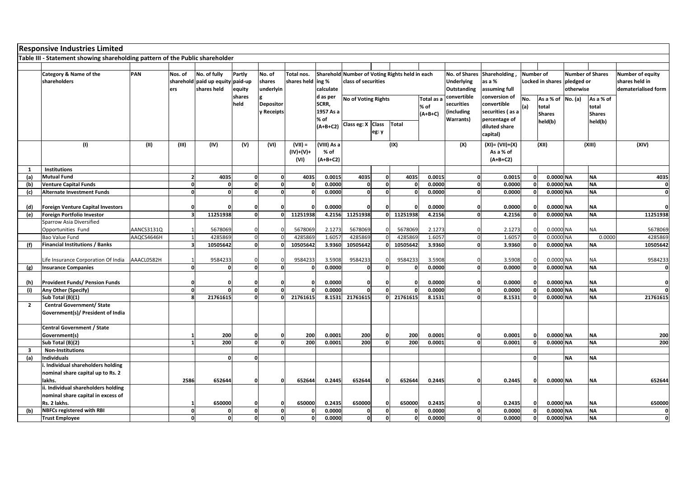|                | <b>Responsive Industries Limited</b>                                         |            |                         |                          |                          |                   |                   |             |                                                |              |          |            |                   |                    |                  |                         |               |                         |                         |  |       |  |       |  |
|----------------|------------------------------------------------------------------------------|------------|-------------------------|--------------------------|--------------------------|-------------------|-------------------|-------------|------------------------------------------------|--------------|----------|------------|-------------------|--------------------|------------------|-------------------------|---------------|-------------------------|-------------------------|--|-------|--|-------|--|
|                | Table III - Statement showing shareholding pattern of the Public shareholder |            |                         |                          |                          |                   |                   |             |                                                |              |          |            |                   |                    |                  |                         |               |                         |                         |  |       |  |       |  |
|                |                                                                              |            |                         |                          |                          |                   |                   |             |                                                |              |          |            |                   |                    |                  |                         |               |                         |                         |  |       |  |       |  |
|                | Category & Name of the                                                       | PAN        | Nos. of                 | No. of fully             | Partly                   | No. of            | Total nos.        |             | Sharehold Number of Voting Rights held in each |              |          |            | No. of Shares     | Shareholding       | <b>Number of</b> |                         |               | <b>Number of Shares</b> | <b>Number of equity</b> |  |       |  |       |  |
|                | shareholders                                                                 |            |                         | sharehold paid up equity | paid-up                  | shares            | shares held ing % |             | class of securities                            |              |          |            | <b>Underlying</b> | as a %             |                  | <b>Locked in shares</b> |               | pledged or              | shares held in          |  |       |  |       |  |
|                |                                                                              |            | ers                     | shares held              | equity                   | underlyin         |                   | calculate   |                                                |              |          |            | Outstanding       | assuming full      |                  |                         |               | otherwise               | dematerialised form     |  |       |  |       |  |
|                |                                                                              |            |                         |                          | shares                   |                   |                   | d as per    |                                                |              |          |            | convertible       | conversion of      |                  |                         |               |                         |                         |  |       |  |       |  |
|                |                                                                              |            |                         |                          | held                     | Depositor         |                   | SCRR,       | No of Voting Rights                            |              |          | Total as a | securities        | convertible        | No.              | As a % of               | No. (a)       | As a % of               |                         |  |       |  |       |  |
|                |                                                                              |            |                         |                          |                          | <b>v</b> Receipts |                   | 1957 As a   |                                                |              |          | % of       | (including        | securities (as a   | percentage of    |                         |               |                         |                         |  | total |  | total |  |
|                |                                                                              |            |                         |                          |                          |                   |                   | % of        |                                                |              |          | $(A+B+C)$  | <b>Warrants)</b>  |                    |                  |                         | <b>Shares</b> |                         | <b>Shares</b>           |  |       |  |       |  |
|                |                                                                              |            |                         |                          |                          |                   |                   | $(A+B+C2)$  | Class eg: X                                    | <b>Class</b> | Total    |            |                   | diluted share      |                  | held(b)                 |               | held(b)                 |                         |  |       |  |       |  |
|                |                                                                              |            |                         |                          |                          |                   |                   |             |                                                | eg: y        |          |            |                   |                    |                  |                         |               |                         |                         |  |       |  |       |  |
|                |                                                                              |            |                         |                          |                          |                   |                   |             |                                                |              |          |            |                   | capital)           |                  |                         |               |                         |                         |  |       |  |       |  |
|                | (1)                                                                          | (II)       | (III)                   | (IV)                     | (V)                      | (VI)              | $(VII) =$         | (VIII) As a |                                                |              | (IX)     |            | (X)               | $(XI) = (VII)+(X)$ |                  | (XII)                   |               | (XIII)                  | (XIV)                   |  |       |  |       |  |
|                |                                                                              |            |                         |                          |                          |                   | $(IV)+(V)+$       | $%$ of      |                                                |              |          |            |                   | As a % of          |                  |                         |               |                         |                         |  |       |  |       |  |
|                |                                                                              |            |                         |                          |                          |                   | (VI)              | $(A+B+C2)$  |                                                |              |          |            |                   | $(A+B+C2)$         |                  |                         |               |                         |                         |  |       |  |       |  |
| 1              | <b>Institutions</b>                                                          |            |                         |                          |                          |                   |                   |             |                                                |              |          |            |                   |                    |                  |                         |               |                         |                         |  |       |  |       |  |
| (a)            | <b>Mutual Fund</b>                                                           |            | $\overline{2}$          | 4035                     | $\mathbf{0}$             | $\mathbf{o}$      | 4035              | 0.0015      | 4035                                           | 0            | 4035     | 0.0015     | $\mathbf{o}$      | 0.0015             | $\mathbf{0}$     | 0.0000 NA               |               | <b>NA</b>               | 4035                    |  |       |  |       |  |
| (b)            | <b>Venture Capital Funds</b>                                                 |            | $\mathbf{0}$            | $\Omega$                 | $\mathbf{0}$             | $\Omega$          |                   | 0.0000      | $\Omega$                                       | $\mathbf{0}$ |          | 0.0000     | $\Omega$          | 0.0000             | <sup>n</sup>     | 0.0000 NA               |               | <b>NA</b>               | $\mathbf{0}$            |  |       |  |       |  |
| (c)            | <b>Alternate Investment Funds</b>                                            |            | $\mathbf{0}$            | $\mathbf{0}$             | $\Omega$                 | $\Omega$          | n                 | 0.0000      | $\Omega$                                       | $\mathbf{0}$ |          | 0.0000     | $\Omega$          | 0.0000             | $\Omega$         | 0.0000 NA               |               | <b>NA</b>               | $\mathbf{0}$            |  |       |  |       |  |
|                |                                                                              |            |                         |                          |                          |                   |                   |             |                                                |              |          |            |                   |                    |                  |                         |               |                         |                         |  |       |  |       |  |
|                |                                                                              |            |                         |                          |                          |                   |                   |             |                                                |              |          |            |                   |                    |                  |                         |               |                         |                         |  |       |  |       |  |
| (d)            | <b>Foreign Venture Capital Investors</b>                                     |            | 0                       |                          | $\Omega$<br>$\mathbf{0}$ |                   | 11251938          | 0.0000      | 11251938                                       |              |          | 0.0000     | $\Omega$          | 0.0000             | $\Omega$         | 0.0000 NA               |               | <b>NA</b>               | $\mathbf{0}$            |  |       |  |       |  |
| (e)            | Foreign Portfolio Investor                                                   |            | $\overline{\mathbf{3}}$ | 11251938                 |                          | 0                 |                   | 4.2156      |                                                | ٥I           | 11251938 | 4.2156     |                   | 4.2156             |                  | 0.0000 NA               |               | <b>NA</b>               | 11251938                |  |       |  |       |  |
|                | <b>Sparrow Asia Diversified</b>                                              |            |                         |                          |                          |                   |                   |             |                                                |              |          |            |                   |                    |                  |                         |               |                         |                         |  |       |  |       |  |
|                | Opportunities Fund                                                           | AANCS3131Q |                         | 5678069                  |                          |                   | 5678069           | 2.1273      | 5678069                                        | $\Omega$     | 5678069  | 2.1273     |                   | 2.1273             |                  | 0.0000 NA               |               | <b>NA</b>               | 5678069                 |  |       |  |       |  |
|                | Bao Value Fund                                                               | AAQCS4646H | $\mathbf{1}$            | 4285869                  | $\overline{0}$           |                   | 4285869           | 1.6057      | 4285869                                        | $\mathbf 0$  | 4285869  | 1.6057     |                   | 1.6057             | <sup>n</sup>     | 0.0000                  | <b>NA</b>     | 0.0000                  | 4285869                 |  |       |  |       |  |
| (f)            | <b>Financial Institutions / Banks</b>                                        |            | $\overline{\mathbf{3}}$ | 10505642                 | 0                        | $\Omega$          | 10505642          | 3.9360      | 10505642                                       | ΩI           | 10505642 | 3.9360     | O                 | 3.9360             | $\mathbf{0}$     | 0.0000 NA               |               | <b>NA</b>               | 10505642                |  |       |  |       |  |
|                |                                                                              |            |                         |                          |                          |                   |                   |             |                                                |              |          |            |                   |                    |                  |                         |               |                         |                         |  |       |  |       |  |
|                | Life Insurance Corporation Of India                                          | AAACL0582H |                         | 9584233                  |                          |                   | 9584233           | 3.5908      | 9584233                                        |              | 9584233  | 3.5908     |                   | 3.5908             |                  | 0.0000 NA               |               | <b>NA</b>               | 9584233                 |  |       |  |       |  |
| (g)            | <b>Insurance Companies</b>                                                   |            | $\Omega$                | $\Omega$                 | $\Omega$                 | $\Omega$          |                   | 0.0000      |                                                | $\Omega$     |          | 0.0000     |                   | 0.0000             |                  | 0.0000 NA               |               | <b>NA</b>               | $\mathbf{0}$            |  |       |  |       |  |
|                |                                                                              |            |                         |                          |                          |                   |                   |             |                                                |              |          |            |                   |                    |                  |                         |               |                         |                         |  |       |  |       |  |
| (h)            | <b>Provident Funds/ Pension Funds</b>                                        |            | $\Omega$                | 0                        |                          |                   |                   | 0.0000      | n                                              |              |          | 0.0000     |                   | 0.0000             |                  | 0.0000 NA               |               | <b>NA</b>               | $\mathbf{0}$            |  |       |  |       |  |
| (i)            | Any Other (Specify)                                                          |            | $\mathbf{0}$            | $\Omega$                 | $\Omega$                 | $\mathbf{0}$      |                   | 0.0000      | $\mathbf{0}$                                   | $\Omega$     |          | 0.0000     | <sup>0</sup>      | 0.0000             | $\Omega$         | 0.0000 NA               |               | <b>NA</b>               | $\Omega$                |  |       |  |       |  |
|                | Sub Total (B)(1)                                                             |            | 8                       | 21761615                 |                          | n                 | 21761615          | 8.1531      | 21761615                                       | ΩL           | 21761615 | 8.1531     | $\Omega$          | 8.1531             |                  | 0.0000 NA               |               | <b>NA</b>               | 21761615                |  |       |  |       |  |
| $\overline{2}$ | <b>Central Government/ State</b>                                             |            |                         |                          |                          |                   |                   |             |                                                |              |          |            |                   |                    |                  |                         |               |                         |                         |  |       |  |       |  |
|                | Government(s)/ President of India                                            |            |                         |                          |                          |                   |                   |             |                                                |              |          |            |                   |                    |                  |                         |               |                         |                         |  |       |  |       |  |
|                |                                                                              |            |                         |                          |                          |                   |                   |             |                                                |              |          |            |                   |                    |                  |                         |               |                         |                         |  |       |  |       |  |
|                | <b>Central Government / State</b>                                            |            |                         |                          |                          |                   |                   |             |                                                |              |          |            |                   |                    |                  |                         |               |                         |                         |  |       |  |       |  |
|                | Government(s)                                                                |            | $\mathbf 1$             | 200                      | $\Omega$                 | $\Omega$          | 200               | 0.0001      | 200                                            | $\mathbf{0}$ | 200      | 0.0001     | n                 | 0.0001             |                  | 0.0000 NA               |               | <b>NA</b>               | 200                     |  |       |  |       |  |
|                | Sub Total (B)(2)                                                             |            | $\mathbf{1}$            | 200                      | $\Omega$                 | $\Omega$          | 200               | 0.0001      | 200                                            | $\mathbf{0}$ | 200      | 0.0001     | 0                 | 0.0001             | $\mathbf{0}$     | 0.0000 NA               |               | <b>NA</b>               | 200                     |  |       |  |       |  |
| 3              | <b>Non-Institutions</b>                                                      |            |                         |                          |                          |                   |                   |             |                                                |              |          |            |                   |                    |                  |                         |               |                         |                         |  |       |  |       |  |
| (a)            | <b>Individuals</b>                                                           |            |                         | $\mathbf{0}$             | $\Omega$                 |                   |                   |             |                                                |              |          |            |                   |                    | $\Omega$         |                         | <b>NA</b>     | <b>NA</b>               |                         |  |       |  |       |  |
|                | i. Individual shareholders holding                                           |            |                         |                          |                          |                   |                   |             |                                                |              |          |            |                   |                    |                  |                         |               |                         |                         |  |       |  |       |  |
|                | nominal share capital up to Rs. 2                                            |            |                         |                          |                          |                   |                   |             |                                                |              |          |            |                   |                    |                  |                         |               |                         |                         |  |       |  |       |  |
|                | lakhs.                                                                       |            | 2586                    | 652644                   | $\Omega$                 |                   | 652644            | 0.2445      | 652644                                         | $\Omega$     | 652644   | 0.2445     |                   | 0.2445             | n                | 0.0000 NA               |               | NA                      | 652644                  |  |       |  |       |  |
|                | ii. Individual shareholders holding                                          |            |                         |                          |                          |                   |                   |             |                                                |              |          |            |                   |                    |                  |                         |               |                         |                         |  |       |  |       |  |
|                | nominal share capital in excess of                                           |            |                         |                          |                          |                   |                   |             |                                                |              |          |            |                   |                    |                  |                         |               |                         |                         |  |       |  |       |  |
|                | Rs. 2 lakhs.                                                                 |            |                         | 650000                   |                          | $\Omega$          | 650000            | 0.2435      | 650000                                         | $\mathbf{0}$ | 650000   | 0.2435     |                   | 0.2435             | 0                | 0.0000 NA               |               | <b>NA</b>               | 650000                  |  |       |  |       |  |
| (b)            | <b>NBFCs registered with RBI</b>                                             |            | $\mathbf{0}$            | $\Omega$                 | $\Omega$                 | $\mathbf{0}$      |                   | 0.0000      | $\Omega$                                       | <sub>0</sub> |          | 0.0000     | $\Omega$          | 0.0000             | $\Omega$         | 0.0000 NA               |               | <b>NA</b>               | $\mathbf{0}$            |  |       |  |       |  |
|                | <b>Trust Employee</b>                                                        |            | $\mathbf{0}$            | $\mathbf{0}$             | $\Omega$                 | $\Omega$          | n                 | 0.0000      | $\mathbf{0}$                                   | $\mathbf{0}$ |          | 0.0000     | $\Omega$          | 0.0000             | 0                | 0.0000 NA               |               | <b>NA</b>               | $\mathbf{0}$            |  |       |  |       |  |
|                |                                                                              |            |                         |                          |                          |                   |                   |             |                                                |              |          |            |                   |                    |                  |                         |               |                         |                         |  |       |  |       |  |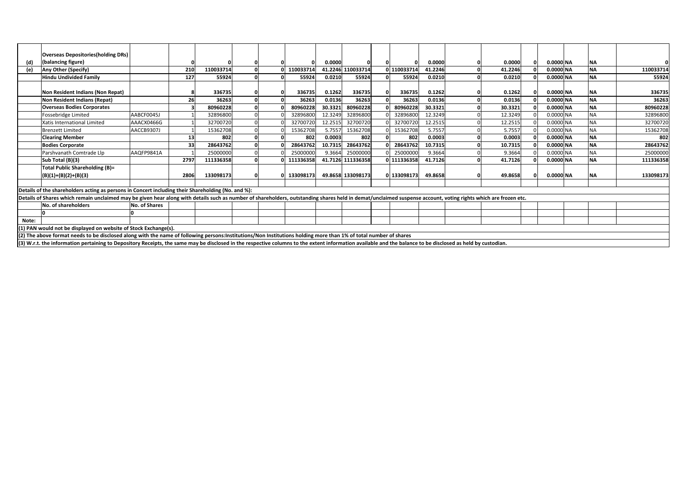|       | <b>Overseas Depositories(holding DRs)</b>                                                                                                                                                                      |               |      |           |  |  |           |         |                   |  |             |         |  |         |  |           |           |           |
|-------|----------------------------------------------------------------------------------------------------------------------------------------------------------------------------------------------------------------|---------------|------|-----------|--|--|-----------|---------|-------------------|--|-------------|---------|--|---------|--|-----------|-----------|-----------|
| (d)   | (balancing figure)                                                                                                                                                                                             |               |      |           |  |  |           | 0.0000  |                   |  |             | 0.0000  |  | 0.0000  |  | 0.0000 NA | <b>NA</b> |           |
| (e)   | Any Other (Specify)                                                                                                                                                                                            |               | 210  | 110033714 |  |  | 110033714 |         | 41.2246 110033714 |  | 110033714   | 41.2246 |  | 41.2246 |  | 0.0000 NA | <b>NA</b> | 110033714 |
|       | <b>Hindu Undivided Family</b>                                                                                                                                                                                  |               | 127  | 55924     |  |  | 55924     | 0.0210  | 55924             |  | 55924       | 0.0210  |  | 0.0210  |  | 0.0000 NA | <b>NA</b> | 55924     |
|       |                                                                                                                                                                                                                |               |      |           |  |  |           |         |                   |  |             |         |  |         |  |           |           |           |
|       | Non Resident Indians (Non Repat)                                                                                                                                                                               |               |      | 336735    |  |  | 336735    | 0.1262  | 336735            |  | 336735      | 0.1262  |  | 0.1262  |  | 0.0000 NA | <b>NA</b> | 336735    |
|       | Non Resident Indians (Repat)                                                                                                                                                                                   |               | 26   | 36263     |  |  | 36263     | 0.0136  | 36263             |  | 36263       | 0.0136  |  | 0.0136  |  | 0.0000 NA | <b>NA</b> | 36263     |
|       | <b>Overseas Bodies Corporates</b>                                                                                                                                                                              |               |      | 80960228  |  |  | 80960228  | 30.3321 | 80960228          |  | 80960228    | 30.3321 |  | 30.3321 |  | 0.0000 NA | <b>NA</b> | 80960228  |
|       | Fossebridge Limited                                                                                                                                                                                            | AABCF0045J    |      | 32896800  |  |  | 32896800  | 12.3249 | 32896800          |  | 32896800    | 12.3249 |  | 12.3249 |  | 0.0000 NA | NA        | 32896800  |
|       | Xatis International Limited                                                                                                                                                                                    | AAACX0466G    |      | 32700720  |  |  | 32700720  | 12.2515 | 32700720          |  | 32700720    | 12.2515 |  | 12.2515 |  | 0.0000 NA | NΑ        | 32700720  |
|       | <b>Brenzett Limited</b>                                                                                                                                                                                        | AACCB9307J    |      | 15362708  |  |  | 15362708  | 5.7557  | 15362708          |  | 15362708    | 5.7557  |  | 5.7557  |  | 0.0000 NA | <b>NA</b> | 15362708  |
|       | <b>Clearing Member</b>                                                                                                                                                                                         |               | 13   | 802       |  |  | 802       | 0.0003  | 802               |  | 802         | 0.0003  |  | 0.0003  |  | 0.0000 NA | <b>NA</b> | 802       |
|       | <b>Bodies Corporate</b>                                                                                                                                                                                        |               | 33   | 28643762  |  |  | 28643762  | 10.7315 | 28643762          |  | 28643762    | 10.7315 |  | 10.7315 |  | 0.0000 NA | <b>NA</b> | 28643762  |
|       | Parshvanath Comtrade Llp                                                                                                                                                                                       | AAQFP9841A    |      | 25000000  |  |  | 25000000  | 9.3664  | 25000000          |  | 25000000    | 9.3664  |  | 9.3664  |  | 0.0000 NA | ΝA        | 25000000  |
|       | Sub Total (B)(3)                                                                                                                                                                                               |               | 2797 | 111336358 |  |  | 111336358 |         | 41.7126 111336358 |  | 0 111336358 | 41.7126 |  | 41.7126 |  | 0.0000 NA | <b>NA</b> | 111336358 |
|       | Total Public Shareholding (B)=                                                                                                                                                                                 |               |      |           |  |  |           |         |                   |  |             |         |  |         |  |           |           |           |
|       | $(B)(1)+(B)(2)+(B)(3)$                                                                                                                                                                                         |               | 2806 | 133098173 |  |  | 133098173 |         | 49.8658 133098173 |  | 0 133098173 | 49.8658 |  | 49.8658 |  | 0.0000 NA | <b>NA</b> | 133098173 |
|       |                                                                                                                                                                                                                |               |      |           |  |  |           |         |                   |  |             |         |  |         |  |           |           |           |
|       | Details of the shareholders acting as persons in Concert including their Shareholding (No. and %):                                                                                                             |               |      |           |  |  |           |         |                   |  |             |         |  |         |  |           |           |           |
|       | Details of Shares which remain unclaimed may be given hear along with details such as number of shareholders, outstanding shares held in demat/unclaimed suspense account, voting rights which are frozen etc. |               |      |           |  |  |           |         |                   |  |             |         |  |         |  |           |           |           |
|       | No. of shareholders                                                                                                                                                                                            | No. of Shares |      |           |  |  |           |         |                   |  |             |         |  |         |  |           |           |           |
|       |                                                                                                                                                                                                                |               |      |           |  |  |           |         |                   |  |             |         |  |         |  |           |           |           |
| Note: |                                                                                                                                                                                                                |               |      |           |  |  |           |         |                   |  |             |         |  |         |  |           |           |           |
|       | (1) PAN would not be displayed on website of Stock Exchange(s).                                                                                                                                                |               |      |           |  |  |           |         |                   |  |             |         |  |         |  |           |           |           |
|       | (2) The above format needs to be disclosed along with the name of following persons:Institutions/Non Institutions holding more than 1% of total number of shares                                               |               |      |           |  |  |           |         |                   |  |             |         |  |         |  |           |           |           |
|       | (3) W.r.t. the information pertaining to Depository Receipts, the same may be disclosed in the respective columns to the extent information available and the balance to be disclosed as held by custodian.    |               |      |           |  |  |           |         |                   |  |             |         |  |         |  |           |           |           |